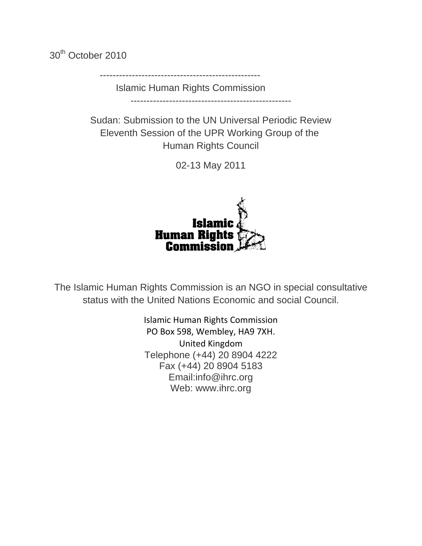30<sup>th</sup> October 2010

--------------------------------------------------

Islamic Human Rights Commission --------------------------------------------------

Sudan: Submission to the UN Universal Periodic Review Eleventh Session of the UPR Working Group of the Human Rights Council

02-13 May 2011



The Islamic Human Rights Commission is an NGO in special consultative status with the United Nations Economic and social Council.

> Islamic Human Rights Commission PO Box 598, Wembley, HA9 7XH. United Kingdom Telephone (+44) 20 8904 4222 Fax (+44) 20 8904 5183 Email:info@ihrc.org Web: www.ihrc.org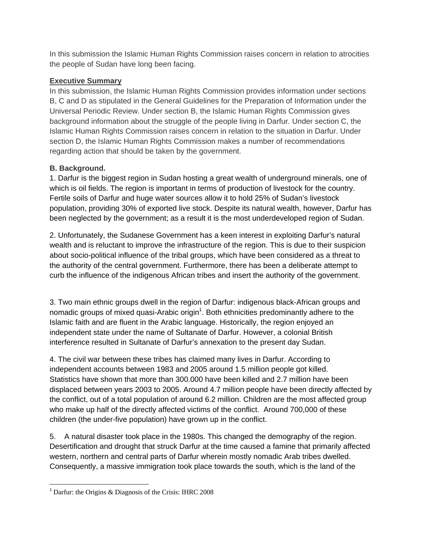In this submission the Islamic Human Rights Commission raises concern in relation to atrocities the people of Sudan have long been facing.

### **Executive Summary**

In this submission, the Islamic Human Rights Commission provides information under sections B, C and D as stipulated in the General Guidelines for the Preparation of Information under the Universal Periodic Review. Under section B, the Islamic Human Rights Commission gives background information about the struggle of the people living in Darfur. Under section C, the Islamic Human Rights Commission raises concern in relation to the situation in Darfur. Under section D, the Islamic Human Rights Commission makes a number of recommendations regarding action that should be taken by the government.

# **B. Background.**

1. Darfur is the biggest region in Sudan hosting a great wealth of underground minerals, one of which is oil fields. The region is important in terms of production of livestock for the country. Fertile soils of Darfur and huge water sources allow it to hold 25% of Sudan's livestock population, providing 30% of exported live stock. Despite its natural wealth, however, Darfur has been neglected by the government; as a result it is the most underdeveloped region of Sudan.

2. Unfortunately, the Sudanese Government has a keen interest in exploiting Darfur's natural wealth and is reluctant to improve the infrastructure of the region. This is due to their suspicion about socio-political influence of the tribal groups, which have been considered as a threat to the authority of the central government. Furthermore, there has been a deliberate attempt to curb the influence of the indigenous African tribes and insert the authority of the government.

3. Two main ethnic groups dwell in the region of Darfur: indigenous black-African groups and nomadic groups of mixed quasi-Arabic origin<sup>1</sup>. Both ethnicities predominantly adhere to the Islamic faith and are fluent in the Arabic language. Historically, the region enjoyed an independent state under the name of Sultanate of Darfur. However, a colonial British interference resulted in Sultanate of Darfur's annexation to the present day Sudan.

4. The civil war between these tribes has claimed many lives in Darfur. According to independent accounts between 1983 and 2005 around 1.5 million people got killed. Statistics have shown that more than 300.000 have been killed and 2.7 million have been displaced between years 2003 to 2005. Around 4.7 million people have been directly affected by the conflict, out of a total population of around 6.2 million. Children are the most affected group who make up half of the directly affected victims of the conflict. Around 700,000 of these children (the under-five population) have grown up in the conflict.

5. A natural disaster took place in the 1980s. This changed the demography of the region. Desertification and drought that struck Darfur at the time caused a famine that primarily affected western, northern and central parts of Darfur wherein mostly nomadic Arab tribes dwelled. Consequently, a massive immigration took place towards the south, which is the land of the

 <sup>1</sup> Darfur: the Origins & Diagnosis of the Crisis: IHRC 2008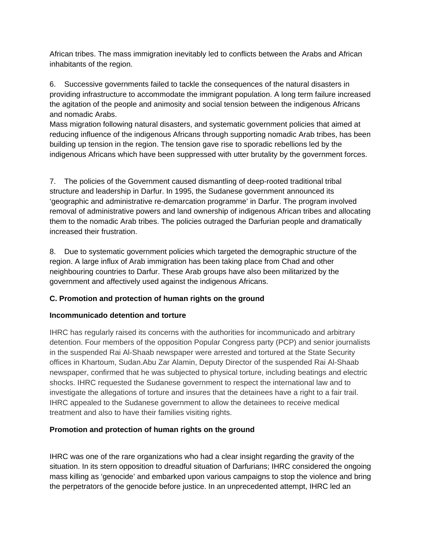African tribes. The mass immigration inevitably led to conflicts between the Arabs and African inhabitants of the region.

6. Successive governments failed to tackle the consequences of the natural disasters in providing infrastructure to accommodate the immigrant population. A long term failure increased the agitation of the people and animosity and social tension between the indigenous Africans and nomadic Arabs.

Mass migration following natural disasters, and systematic government policies that aimed at reducing influence of the indigenous Africans through supporting nomadic Arab tribes, has been building up tension in the region. The tension gave rise to sporadic rebellions led by the indigenous Africans which have been suppressed with utter brutality by the government forces.

7. The policies of the Government caused dismantling of deep-rooted traditional tribal structure and leadership in Darfur. In 1995, the Sudanese government announced its 'geographic and administrative re-demarcation programme' in Darfur. The program involved removal of administrative powers and land ownership of indigenous African tribes and allocating them to the nomadic Arab tribes. The policies outraged the Darfurian people and dramatically increased their frustration.

8. Due to systematic government policies which targeted the demographic structure of the region. A large influx of Arab immigration has been taking place from Chad and other neighbouring countries to Darfur. These Arab groups have also been militarized by the government and affectively used against the indigenous Africans.

# **C. Promotion and protection of human rights on the ground**

# **Incommunicado detention and torture**

IHRC has regularly raised its concerns with the authorities for incommunicado and arbitrary detention. Four members of the opposition Popular Congress party (PCP) and senior journalists in the suspended Rai Al-Shaab newspaper were arrested and tortured at the State Security offices in Khartoum, Sudan.Abu Zar Alamin, Deputy Director of the suspended Rai Al-Shaab newspaper, confirmed that he was subjected to physical torture, including beatings and electric shocks. IHRC requested the Sudanese government to respect the international law and to investigate the allegations of torture and insures that the detainees have a right to a fair trail. IHRC appealed to the Sudanese government to allow the detainees to receive medical treatment and also to have their families visiting rights.

# **Promotion and protection of human rights on the ground**

IHRC was one of the rare organizations who had a clear insight regarding the gravity of the situation. In its stern opposition to dreadful situation of Darfurians; IHRC considered the ongoing mass killing as 'genocide' and embarked upon various campaigns to stop the violence and bring the perpetrators of the genocide before justice. In an unprecedented attempt, IHRC led an